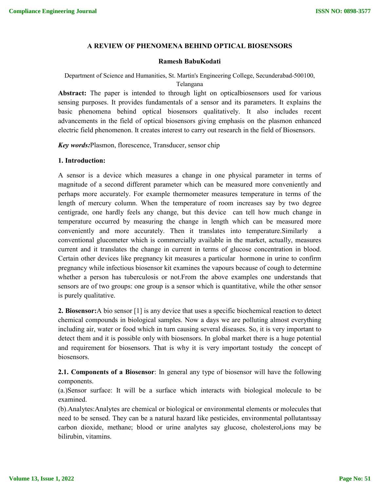## **A REVIEW OF PHENOMENA BEHIND OPTICAL BIOSENSORS**

## **Ramesh BabuKodati**

Department of Science and Humanities, St. Martin's Engineering College, Secunderabad-500100, Telangana

**Abstract:** The paper is intended to through light on opticalbiosensors used for various sensing purposes. It provides fundamentals of a sensor and its parameters. It explains the basic phenomena behind optical biosensors qualitatively. It also includes recent advancements in the field of optical biosensors giving emphasis on the plasmon enhanced electric field phenomenon. It creates interest to carry out research in the field of Biosensors.

*Key words:*Plasmon, florescence, Transducer, sensor chip

### **1. Introduction:**

A sensor is a device which measures a change in one physical parameter in terms of magnitude of a second different parameter which can be measured more conveniently and perhaps more accurately. For example thermometer measures temperature in terms of the length of mercury column. When the temperature of room increases say by two degree centigrade, one hardly feels any change, but this device can tell how much change in temperature occurred by measuring the change in length which can be measured more conveniently and more accurately. Then it translates into temperature.Similarly a conventional glucometer which is commercially available in the market, actually, measures current and it translates the change in current in terms of glucose concentration in blood. Certain other devices like pregnancy kit measures a particular hormone in urine to confirm pregnancy while infectious biosensor kit examines the vapours because of cough to determine whether a person has tuberculosis or not.From the above examples one understands that sensors are of two groups: one group is a sensor which is quantitative, while the other sensor is purely qualitative.

**2. Biosensor:**A bio sensor [1] is any device that uses a specific biochemical reaction to detect chemical compounds in biological samples. Now a days we are polluting almost everything including air, water or food which in turn causing several diseases. So, it is very important to detect them and it is possible only with biosensors. In global market there is a huge potential and requirement for biosensors. That is why it is very important tostudy the concept of biosensors.

**2.1. Components of a Biosensor**: In general any type of biosensor will have the following components.

(a.)Sensor surface: It will be a surface which interacts with biological molecule to be examined.

(b).Analytes:Analytes are chemical or biological or environmental elements or molecules that need to be sensed. They can be a natural hazard like pesticides, environmental pollutantssay carbon dioxide, methane; blood or urine analytes say glucose, cholesterol,ions may be bilirubin, vitamins.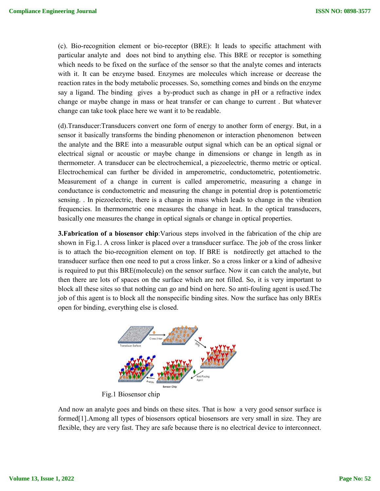(c). Bio-recognition element or bio-receptor (BRE): It leads to specific attachment particular analyte and does not bind to anything else. This BRE or receptor is something which needs to be fixed on the surface of the sensor so that the analyte comes and interacts with it. It can be enzyme based. Enzymes are molecules which increase or decrease the reaction rates in the body metabolic processes. So, something comes and binds on the enzyme which needs to be fixed on the surface of the sensor so that the analyte comes and interacts with it. It can be enzyme based. Enzymes are molecules which increase or decrease the reaction rates in the body metabolic proces change or maybe change in mass or heat transfer or can change to current. But whatever change can take took place here we want it to be readable.

(d). Transducer: Transducers convert one form of energy to another form of energy. But, in a sensor it basically transforms the binding phenomenon or interaction phenomenon between the analyte and the BRE into a measurable output signal which can be an optical signal or electrical signal or acoustic or maybe change in dimensions or change in length as in thermometer. A transducer can be electrochemical, a piezoelectric, thermo metric or optical. Electrochemical can further be divided in a thermometer. A transducer can be electrochemical, a piezoelectric, thermo metric or optical. Electrochemical can further be divided in amperometric, conductometric, potentiometric. Measurement of a change in current is called amperometric, measuring a change in conductance is conductometric and measuring the change in potential drop is potentiometric sensing. . In piezoelectric, there is a change in mass which leads to change in the vibration frequencies. In thermometric one measures the change in heat. In the optical transducers, basically one measures the change in optical signals or change in optical properties ttachment with<br>or is something<br>es and interacts<br>or decrease the<br>son the enzyme<br>refractive index<br>. But whatever<br>nergy. But, in a<br>nenon between<br>prical signal or<br>n length as in<br>etric or optical.<br>potentiometric.<br>g a change in<br> (d).Transducer:Transducers convert one form of energy to another form of energy. But, in sensor it basically transforms the binding phenomenon or interaction phenomenon betwee the analyte and the BRE into a measurable outp East pour and<br>the strain of the strain of the strain of the strain of the strain of the<br>strain of the strain of the strain of the strain of the strain of the strain of the strain of the strain of the strain of the strain o

**3. Fabrication of a biosensor chip:**Various steps involved in the fabrication of the chip are shown in Fig.1. A cross linker is placed over a transducer surface. The job of the cross linker **3. Fabrication of a biosensor chip**: Various steps involved in the fabrication of the chip are shown in Fig.1. A cross linker is placed over a transducer surface. The job of the cross linker is to attach the bio-recogniti transducer surface then one need to put a cross linker. So a cross linker or a kind of adhesive is required to put this BRE(molecule) on the sensor surface. Now it can catch the analyte, but then there are lots of spaces on the surface which are not filled. So, it is very imp block all these sites so that nothing can go and bind on here. So anti-fouling agent is used. The job of this agent is to block all the nonspecific binding sites. Now the surface has only BREs open for binding, everything else is closed. ss linker or a kind of adhesive<br>bw it can catch the analyte, but<br>ed. So, it is very important to



Fig.1 Biosensor chip

And now an analyte goes and binds on these sites. That is how a very good sensor surface is formed[1]. Among all types of biosensors optical biosensors are very small in size. They are flexible, they are very fast. They are safe because there is no electrical device to interconnect.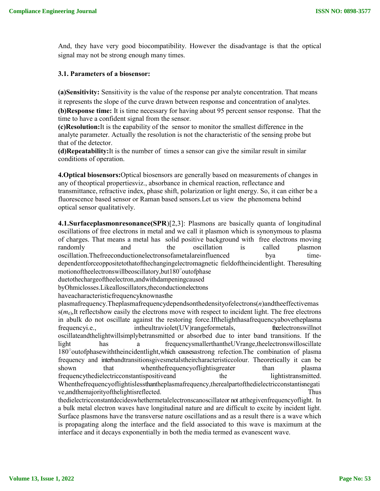And, they have very good biocompatibility. However the disadvantage is that the optical signal may not be strong enough many times.

# **3.1. Parameters of a biosensor:**

**(a)Sensitivity:** Sensitivity is the value of the response per analyte concentration. That means it represents the slope of the curve drawn between response and concentration of analytes.

**(b)Response time:** It is time necessary for having about 95 percent sensor response. That the time to have a confident signal from the sensor.

**(c)Resolution:**It is the **c**apability of the sensor to monitor the smallest difference in the analyte parameter. Actually the resolution is not the characteristic of the sensing probe but that of the detector.

**(d)Repeatability:**It is the number of times a sensor can give the similar result in similar conditions of operation.

**4.Optical biosensors:**Optical biosensors are generally based on measurements of changes in any of theoptical propertiesviz., absorbance in chemical reaction, reflectance and transmittance, refractive index, phase shift, polarization or light energy. So, it can either be a fluorescence based sensor or Raman based sensors.Let us view the phenomena behind optical sensor qualitatively.

**4.1.Surfaceplasmonresonance(SPR**)[2,3]: Plasmons are basically quanta of longitudinal oscillations of free electrons in metal and we call it plasmon which is synonymous to plasma of charges. That means a metal has solid positive background with free electrons moving randomly and the oscillation is called plasmon oscillation.Thefreeconductionelectronsofametalareinfluenced bya timedependentforceoppositetothatofthechangingelectromagnetic fieldoftheincidentlight. Theresulting motionoftheelectronswillbeoscillatory, but 180° outof phase

duetothechargeoftheelectron,andwithdampeningcaused

byOhmiclosses.Likealloscillators,theconductionelectrons

haveacharacteristicfrequencyknownasthe

plasmafrequency.Theplasmafrequencydependsonthedensityofelectrons(*n*)andtheeffectivemas  $s(m_e)$ , It reflectshow easily the electrons move with respect to incident light. The free electrons in abulk do not oscillate against the restoring force.Ifthelighthasafrequencyabovetheplasma frequencyi.e., intheultraviolet(UV)rangeformetals, theelectronswillnot oscillateandthelightwillsimplybetransmitted or absorbed due to inter band transitions. If the light has a frequencysmallerthantheUVrange,theelectronswilloscillate 180° outofphasewiththeincidentlight, which causesastrong refection. The combination of plasma frequency and interbandtransitionsgivesmetalstheircharacteristiccolour. Theoretically it can be shown that whenthefrequencyoflightisgreater than plasma frequencythedielectricconstantispositiveand the lightistransmitted. Whenthefrequencyoflightislessthantheplasmafrequency,therealpartofthedielectricconstantisnegati ve,andthemajorityofthelightisreflected. Thus thedielectricconstantdecideswhethermetalelectronscanoscillateor not atthegivenfrequencyoflight. In a bulk metal electron waves have longitudinal nature and are difficult to excite by incident light. Surface plasmons have the transverse nature oscillations and as a result there is a wave which is propagating along the interface and the field associated to this wave is maximum at the interface and it decays exponentially in both the media termed as evanescent wave.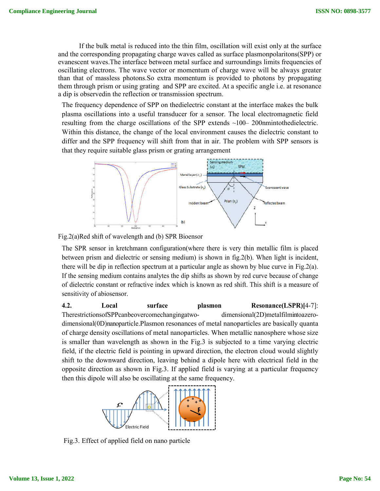If the bulk metal is reduced into the thin film, oscillation will exist only at the surface and the corresponding propagating charge waves called as surface plasmonpolaritons(SPP) or evanescent waves.The interface between metal surface and surroundings limits frequencies of oscillating electrons. The wave vector or momentum of charge wave will be always greater than that of massless photons.So extra momentum is provided to photons by propagating them through prism or using grating and SPP are excited. At a specific angle i.e. at resonance a dip is observedin the reflection or transmission spectrum.

The frequency dependence of SPP on thedielectric constant at the interface makes the bulk plasma oscillations into a useful transducer for a sensor. The local electromagnetic field resulting from the charge oscillations of the SPP extends  $\sim$ 100– 200nmintothedielectric. Within this distance, the change of the local environment causes the dielectric constant to differ and the SPP frequency will shift from that in air. The problem with SPP sensors is that they require suitable glass prism or grating arrangement



Fig.2(a)Red shift of wavelength and (b) SPR Bioensor

The SPR sensor in kretchmann configuration(where there is very thin metallic film is placed between prism and dielectric or sensing medium) is shown in fig.2(b). When light is incident, there will be dip in reflection spectrum at a particular angle as shown by blue curve in Fig.2(a). If the sensing medium contains analytes the dip shifts as shown by red curve because of change of dielectric constant or refractive index which is known as red shift. This shift is a measure of sensitivity of abiosensor.

**4.2. Local surface plasmon Resonance(LSPR)[**4-7]: TherestrictionsofSPPcanbeovercomechangingatwo- dimensional(2D)metalfilmintoazerodimensional(0D)nanoparticle.Plasmon resonances of metal nanoparticles are basically quanta of charge density oscillations of metal nanoparticles. When metallic nanosphere whose size is smaller than wavelength as shown in the Fig.3 is subjected to a time varying electric field, if the electric field is pointing in upward direction, the electron cloud would slightly shift to the downward direction, leaving behind a dipole here with electrical field in the opposite direction as shown in Fig.3. If applied field is varying at a particular frequency then this dipole will also be oscillating at the same frequency.



Fig.3. Effect of applied field on nano particle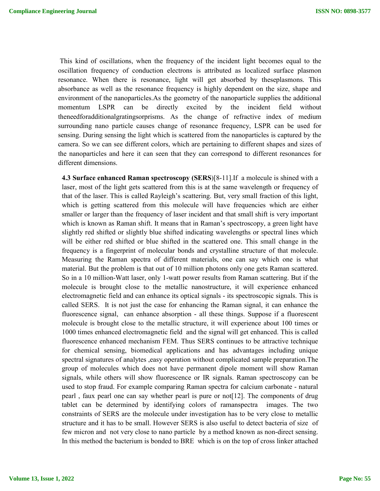This kind of oscillations, when the frequency of the incident light becomes equal to the oscillation frequency of conduction electrons is attributed as localized surface plasmon resonance. When there is resonance, light will get absorbed by theseplasmons. This absorbance as well as the resonance frequency is highly dependent on the size, shape and environment of the nanoparticles.As the geometry of the nanoparticle supplies the additional momentum LSPR can be directly excited by the incident field without theneedforadditionalgratingsorprisms. As the change of refractive index of medium surrounding nano particle causes change of resonance frequency, LSPR can be used for sensing. During sensing the light which is scattered from the nanoparticles is captured by the camera. So we can see different colors, which are pertaining to different shapes and sizes of the nanoparticles and here it can seen that they can correspond to different resonances for different dimensions.

**4.3 Surface enhanced Raman spectroscopy (SERS**)[8-11].If a molecule is shined with a laser, most of the light gets scattered from this is at the same wavelength or frequency of that of the laser. This is called Rayleigh's scattering. But, very small fraction of this light, which is getting scattered from this molecule will have frequencies which are either smaller or larger than the frequency of laser incident and that small shift is very important which is known as Raman shift. It means that in Raman's spectroscopy, a green light have slightly red shifted or slightly blue shifted indicating wavelengths or spectral lines which will be either red shifted or blue shifted in the scattered one. This small change in the frequency is a fingerprint of molecular bonds and crystalline structure of that molecule. Measuring the Raman spectra of different materials, one can say which one is what material. But the problem is that out of 10 million photons only one gets Raman scattered. So in a 10 million-Watt laser, only 1-watt power results from Raman scattering. But if the molecule is brought close to the metallic nanostructure, it will experience enhanced electromagnetic field and can enhance its optical signals - its spectroscopic signals. This is called SERS. It is not just the case for enhancing the Raman signal, it can enhance the fluorescence signal, can enhance absorption - all these things. Suppose if a fluorescent molecule is brought close to the metallic structure, it will experience about 100 times or 1000 times enhanced electromagnetic field and the signal will get enhanced. This is called fluorescence enhanced mechanism FEM. Thus SERS continues to be attractive technique for chemical sensing, biomedical applications and has advantages including unique spectral signatures of analytes ,easy operation without complicated sample preparation.The group of molecules which does not have permanent dipole moment will show Raman signals, while others will show fluorescence or IR signals. Raman spectroscopy can be used to stop fraud. For example comparing Raman spectra for calcium carbonate - natural pearl , faux pearl one can say whether pearl is pure or not[12]. The components of drug tablet can be determined by identifying colors of ramanspectra images. The two constraints of SERS are the molecule under investigation has to be very close to metallic structure and it has to be small. However SERS is also useful to detect bacteria of size of few micron and not very close to nano particle by a method known as non-direct sensing. In this method the bacterium is bonded to BRE which is on the top of cross linker attached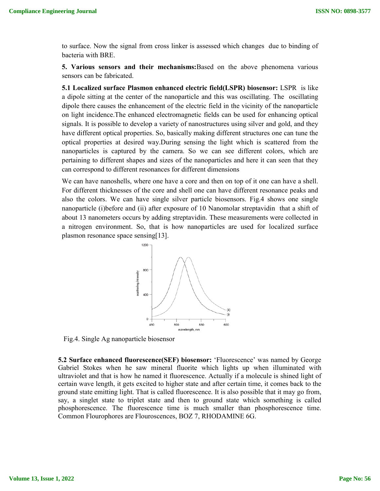to surface. Now the signal from cross linker is assessed which changes due to binding of bacteria with BRE.

**5. Various sensors and their mechanisms:**Based on the above phenomena various sensors can be fabricated.

**5.1 Localized surface Plasmon enhanced electric field(LSPR) biosensor:** LSPR is like a dipole sitting at the center of the nanoparticle and this was oscillating. The oscillating dipole there causes the enhancement of the electric field in the vicinity of the nanoparticle on light incidence.The enhanced electromagnetic fields can be used for enhancing optical signals. It is possible to develop a variety of nanostructures using silver and gold, and they have different optical properties. So, basically making different structures one can tune the optical properties at desired way.During sensing the light which is scattered from the nanoparticles is captured by the camera. So we can see different colors, which are pertaining to different shapes and sizes of the nanoparticles and here it can seen that they can correspond to different resonances for different dimensions

We can have nanoshells, where one have a core and then on top of it one can have a shell. For different thicknesses of the core and shell one can have different resonance peaks and also the colors. We can have single silver particle biosensors. Fig.4 shows one single nanoparticle (i)before and (ii) after exposure of 10 Nanomolar streptavidin that a shift of about 13 nanometers occurs by adding streptavidin. These measurements were collected in a nitrogen environment. So, that is how nanoparticles are used for localized surface plasmon resonance space sensing[13].



Fig.4. Single Ag nanoparticle biosensor

**5.2 Surface enhanced fluorescence(SEF) biosensor:** 'Fluorescence' was named by George Gabriel Stokes when he saw mineral fluorite which lights up when illuminated with ultraviolet and that is how he named it fluorescence. Actually if a molecule is shined light of certain wave length, it gets excited to higher state and after certain time, it comes back to the ground state emitting light. That is called fluorescence. It is also possible that it may go from, say, a singlet state to triplet state and then to ground state which something is called phosphorescence. The fluorescence time is much smaller than phosphorescence time. Common Flourophores are Flouroscences, BOZ 7, RHODAMINE 6G.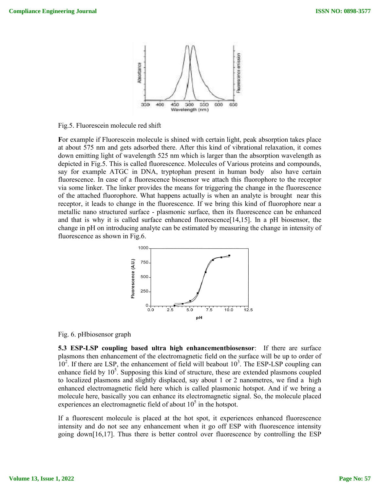

Fig.5. Fluorescein molecule red shift

**F**or example if Fluorescein molecule is shined with certain light, peak absorption takes place at about 575 nm and gets adsorbed there. After this kind of vibrational relaxation, it comes down emitting light of wavelength 525 nm which is larger than the absorption wavelength as depicted in Fig.5. This is called fluorescence. Molecules of Various proteins and compounds, say for example ATGC in DNA, tryptophan present in human body also have certain fluorescence. In case of a fluorescence biosensor we attach this fluorophore to the receptor via some linker. The linker provides the means for triggering the change in the fluorescence of the attached fluorophore. What happens actually is when an analyte is brought near this receptor, it leads to change in the fluorescence. If we bring this kind of fluorophore near a metallic nano structured surface - plasmonic surface, then its fluorescence can be enhanced and that is why it is called surface enhanced fluorescence[14,15]. In a pH biosensor, the change in pH on introducing analyte can be estimated by measuring the change in intensity of fluorescence as shown in Fig.6.



Fig. 6. pHbiosensor graph

**5.3 ESP-LSP coupling based ultra high enhancementbiosensor**: If there are surface plasmons then enhancement of the electromagnetic field on the surface will be up to order of  $10^2$ . If there are LSP, the enhancement of field will beabout  $10^3$ . The ESP-LSP coupling can enhance field by  $10<sup>5</sup>$ . Supposing this kind of structure, these are extended plasmons coupled to localized plasmons and slightly displaced, say about 1 or 2 nanometres, we find a high enhanced electromagnetic field here which is called plasmonic hotspot. And if we bring a molecule here, basically you can enhance its electromagnetic signal. So, the molecule placed experiences an electromagnetic field of about  $10<sup>5</sup>$  in the hotspot.

If a fluorescent molecule is placed at the hot spot, it experiences enhanced fluorescence intensity and do not see any enhancement when it go off ESP with fluorescence intensity going down[16,17]. Thus there is better control over fluorescence by controlling the ESP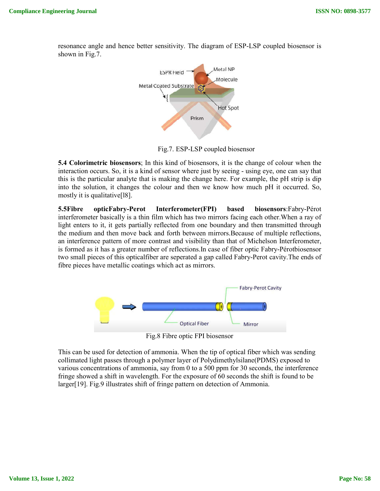resonance angle and hence better sensitivity. The diagram of ESP-LSP coupled biosensor is shown in Fig.7.



Fig.7. ESP-LSP coupled biosensor

**5.4 Colorimetric biosensors**; In this kind of biosensors, it is the change of colour when the interaction occurs. So, it is a kind of sensor where just by seeing - using eye, one can say that this is the particular analyte that is making the change here. For example, the pH strip is dip into the solution, it changes the colour and then we know how much pH it occurred. So, mostly it is qualitative[l8].

**5.5Fibre opticFabry-Perot Interferometer(FPI) based biosensors**:Fabry-Pérot interferometer basically is a thin film which has two mirrors facing each other.When a ray of light enters to it, it gets partially reflected from one boundary and then transmitted through the medium and then move back and forth between mirrors.Because of multiple reflections, an interference pattern of more contrast and visibility than that of Michelson Interferometer, is formed as it has a greater number of reflections.In case of fiber optic Fabry-Pérotbiosensor two small pieces of this opticalfiber are seperated a gap called Fabry-Perot cavity.The ends of fibre pieces have metallic coatings which act as mirrors.



Fig.8 Fibre optic FPI biosensor

This can be used for detection of ammonia. When the tip of optical fiber which was sending collimated light passes through a polymer layer of Polydimethylsilane(PDMS) exposed to various concentrations of ammonia, say from 0 to a 500 ppm for 30 seconds, the interference fringe showed a shift in wavelength. For the exposure of 60 seconds the shift is found to be larger[19]. Fig.9 illustrates shift of fringe pattern on detection of Ammonia.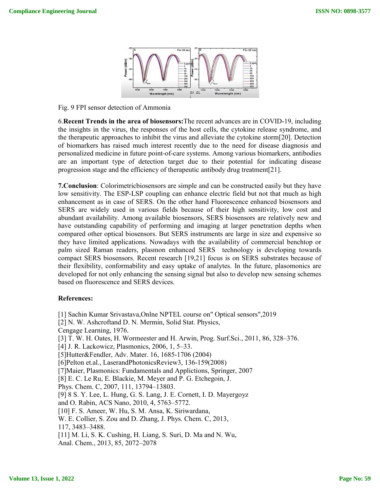

Fig. 9 FPI sensor detection of Ammonia

6.**Recent Trends in the area of biosensors:**The recent advances are in COVID-19, including the insights in the virus, the responses of the host cells, the cytokine release syndrome, and the therapeutic approaches to inhibit the virus and alleviate the cytokine storm[20]. Detection of biomarkers has raised much interest recently due to the need for disease diagnosis and personalized medicine in future point-of-care systems. Among various biomarkers, antibodies are an important type of detection target due to their potential for indicating disease progression stage and the efficiency of therapeutic antibody drug treatment[21].

**7.Conclusion**: Colorimetricbiosensors are simple and can be constructed easily but they have low sensitivity. The ESP-LSP coupling can enhance electric field but not that much as high enhancement as in case of SERS. On the other hand Fluorescence enhanced biosensors and SERS are widely used in various fields because of their high sensitivity, low cost and abundant availability. Among available biosensors, SERS biosensors are relatively new and have outstanding capability of performing and imaging at larger penetration depths when compared other optical biosensors. But SERS instruments are large in size and expensive so they have limited applications. Nowadays with the availability of commercial benchtop or palm sized Raman readers, plasmon enhanced SERS technology is developing towards compact SERS biosensors. Recent research [19,21] focus is on SERS substrates because of their flexibility, conformability and easy uptake of analytes. In the future, plasomonics are developed for not only enhancing the sensing signal but also to develop new sensing schemes based on fluorescence and SERS devices.

#### **References:**

[1] Sachin Kumar Srivastava,Onlne NPTEL course on" Optical sensors",2019 [2] N. W. Ashcroftand D. N. Mermin, Solid Stat. Physics, Cengage Learning, 1976. [3] T. W. H. Oates, H. Wormeester and H. Arwin, Prog. Surf.Sci., 2011, 86, 328–376. [4] J. R. Lackowicz, Plasmonics, 2006, 1, 5–33. [5]Hutter&Fendler, Adv. Mater. 16, 1685-1706 (2004) [6]Pelton et.al., LaserandPhotonicsReview3, 136-159(2008) [7]Maier, Plasmonics: Fundamentals and Applictions, Springer, 2007 [8] E. C. Le Ru, E. Blackie, M. Meyer and P. G. Etchegoin, J. Phys. Chem. C, 2007, 111, 13794–13803. [9] 8 S. Y. Lee, L. Hung, G. S. Lang, J. E. Cornett, I. D. Mayergoyz and O. Rabin, ACS Nano, 2010, 4, 5763–5772. [10] F. S. Ameer, W. Hu, S. M. Ansa, K. Siriwardana, W. E. Collier, S. Zou and D. Zhang, J. Phys. Chem. C, 2013, 117, 3483–3488. [11] M. Li, S. K. Cushing, H. Liang, S. Suri, D. Ma and N. Wu, Anal. Chem., 2013, 85, 2072–2078